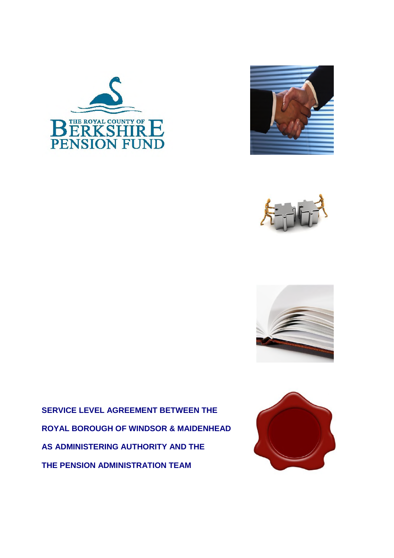







**SERVICE LEVEL AGREEMENT BETWEEN THE ROYAL BOROUGH OF WINDSOR & MAIDENHEAD AS ADMINISTERING AUTHORITY AND THE THE PENSION ADMINISTRATION TEAM**

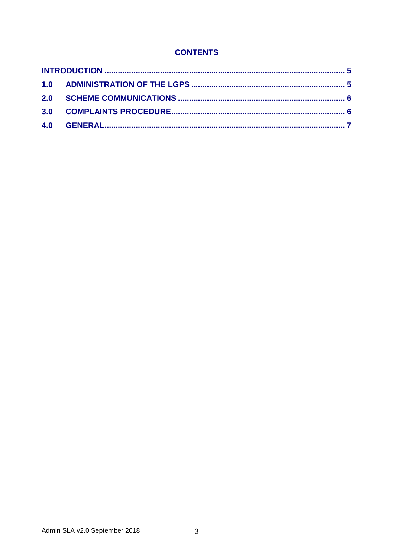# **CONTENTS**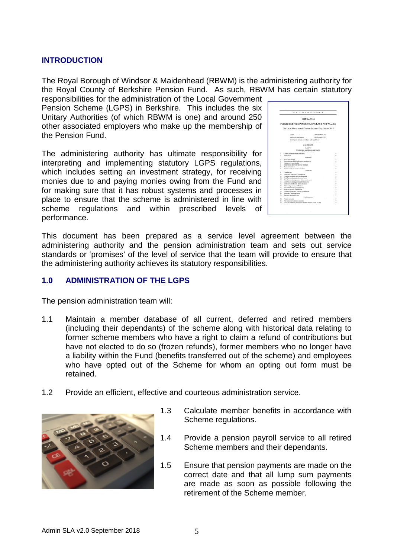### **INTRODUCTION**

The Royal Borough of Windsor & Maidenhead (RBWM) is the administering authority for the Royal County of Berkshire Pension Fund. As such, RBWM has certain statutory

responsibilities for the administration of the Local Government Pension Scheme (LGPS) in Berkshire. This includes the six Unitary Authorities (of which RBWM is one) and around 250 other associated employers who make up the membership of the Pension Fund.

The administering authority has ultimate responsibility for interpreting and implementing statutory LGPS regulations, which includes setting an investment strategy, for receiving monies due to and paying monies owing from the Fund and for making sure that it has robust systems and processes in place to ensure that the scheme is administered in line with scheme regulations and within prescribed levels of performance.

|                  | STATUTORY INSTRUMENTS                                                                                   |
|------------------|---------------------------------------------------------------------------------------------------------|
|                  | 2013 No. 2356                                                                                           |
|                  | PUBLIC SERVICE PENSIONS, ENGLAND AND WALES                                                              |
|                  | The Local Government Pension Scheme Regulations 2013                                                    |
|                  |                                                                                                         |
|                  | Marke<br>12th September 2013                                                                            |
|                  | Laid below Parliament<br>19th September 2013                                                            |
|                  | Coning into force in accordance with regulation I                                                       |
|                  |                                                                                                         |
|                  | <b>CONTENTS</b>                                                                                         |
|                  |                                                                                                         |
|                  | PART I                                                                                                  |
|                  | Mandorship, centributions and boardits<br>Perlindeary Provisions                                        |
| Ι.               | Citation, commencement and extent<br>×                                                                  |
| z.               | Introductory<br>٠                                                                                       |
|                  | Membership                                                                                              |
| ٠.               | Active membership<br>s                                                                                  |
| ×.               | Restriction on eligibility for active membership<br>×.                                                  |
| s.               | y<br>Ending active membership<br>š                                                                      |
| ó.<br>T.         | Deferred and deferred pensioner members<br>ş<br>Possionar runnbors                                      |
| ×.               | Penalen credit and autobox members.<br>k                                                                |
|                  | Contabutions                                                                                            |
| ú.               | Contributions<br>ï                                                                                      |
| 18.              | Temporary reduction in contributions<br>٠                                                               |
| 11.<br>12.       | Contributions during absence from work<br>¥<br>Contributions during child related leave<br>$\mathbf{H}$ |
| 13.              | Contributions during reserve fierces service leave.<br>18                                               |
| 14               | Contributions during absence for illness etc.<br>18                                                     |
| 15.              | 18<br>Employer contributions during absences                                                            |
| 18.              | Additional pension contributions<br>11                                                                  |
| 17.              | Additional voluntary contributions<br>14<br>18                                                          |
| <b>ER.</b><br>图: | Rights to return of contributions.<br>Exclusion of rights to return of contributions.<br>16             |
| 26.              | 13<br>Manning of patricircal is pay                                                                     |
| 21.              | Assumed pensionable per<br>17                                                                           |
|                  | Penniss accounts                                                                                        |
| 23.              | Penáte accounts<br>18                                                                                   |
| $21 -$           | $\mathbf{1}$<br>Active member's pension accounts                                                        |
| 24.              | Deferred member's persion account and deferred refund account<br>$28 -$                                 |

This document has been prepared as a service level agreement between the administering authority and the pension administration team and sets out service standards or 'promises' of the level of service that the team will provide to ensure that the administering authority achieves its statutory responsibilities.

### **1.0 ADMINISTRATION OF THE LGPS**

The pension administration team will:

- 1.1 Maintain a member database of all current, deferred and retired members (including their dependants) of the scheme along with historical data relating to former scheme members who have a right to claim a refund of contributions but have not elected to do so (frozen refunds), former members who no longer have a liability within the Fund (benefits transferred out of the scheme) and employees who have opted out of the Scheme for whom an opting out form must be retained.
- 1.2 Provide an efficient, effective and courteous administration service.



- 1.3 Calculate member benefits in accordance with Scheme regulations.
- 1.4 Provide a pension payroll service to all retired Scheme members and their dependants.
- 1.5 Ensure that pension payments are made on the correct date and that all lump sum payments are made as soon as possible following the retirement of the Scheme member.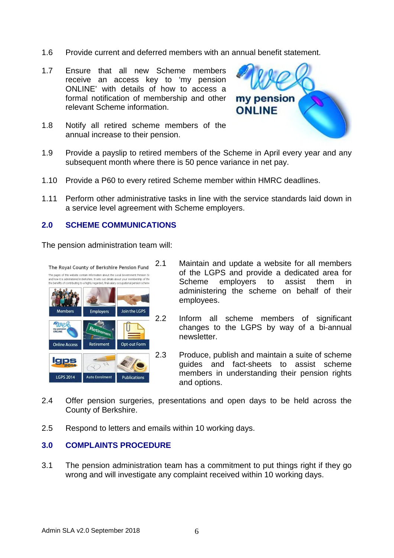- 1.6 Provide current and deferred members with an annual benefit statement.
- 1.7 Ensure that all new Scheme members receive an access key to 'my pension ONLINE' with details of how to access a formal notification of membership and other relevant Scheme information.
- 1.8 Notify all retired scheme members of the annual increase to their pension.



- 1.9 Provide a payslip to retired members of the Scheme in April every year and any subsequent month where there is 50 pence variance in net pay.
- 1.10 Provide a P60 to every retired Scheme member within HMRC deadlines.
- 1.11 Perform other administrative tasks in line with the service standards laid down in a service level agreement with Scheme employers.

#### **2.0 SCHEME COMMUNICATIONS**

The pension administration team will:



- 2.1 Maintain and update a website for all members of the LGPS and provide a dedicated area for Scheme employers to assist them in administering the scheme on behalf of their employees.
- 2.2 Inform all scheme members of significant changes to the LGPS by way of a bi-annual newsletter.
- 2.3 Produce, publish and maintain a suite of scheme guides and fact-sheets to assist scheme members in understanding their pension rights and options.
- 2.4 Offer pension surgeries, presentations and open days to be held across the County of Berkshire.
- 2.5 Respond to letters and emails within 10 working days.

### **3.0 COMPLAINTS PROCEDURE**

3.1 The pension administration team has a commitment to put things right if they go wrong and will investigate any complaint received within 10 working days.